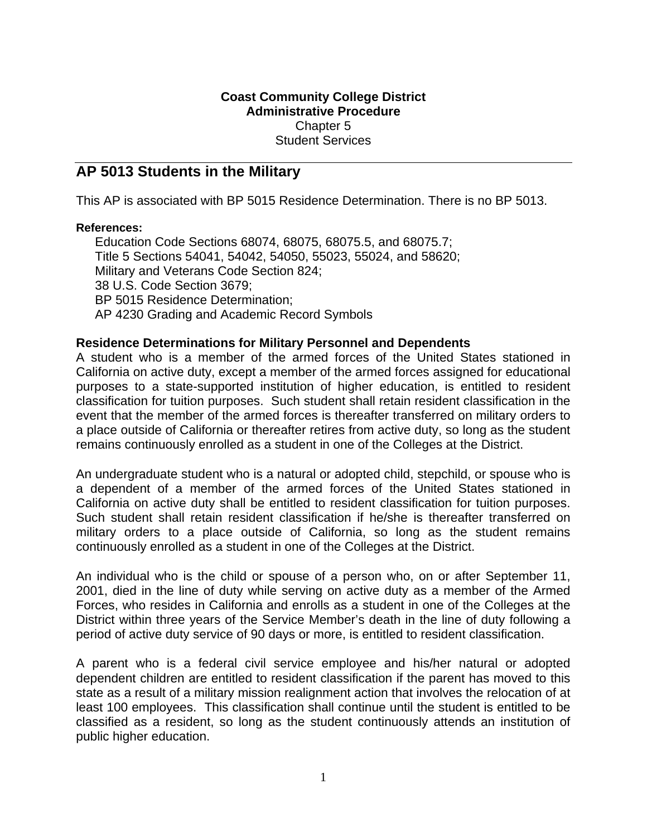# **Coast Community College District Administrative Procedure**  Chapter 5 Student Services

# **AP 5013 Students in the Military**

This AP is associated with BP 5015 Residence Determination. There is no BP 5013.

#### **References:**

Education Code Sections 68074, 68075, 68075.5, and 68075.7; Title 5 Sections 54041, 54042, 54050, 55023, 55024, and 58620; Military and Veterans Code Section 824; 38 U.S. Code Section 3679; BP 5015 Residence Determination; AP 4230 Grading and Academic Record Symbols

### **Residence Determinations for Military Personnel and Dependents**

A student who is a member of the armed forces of the United States stationed in California on active duty, except a member of the armed forces assigned for educational purposes to a state-supported institution of higher education, is entitled to resident classification for tuition purposes. Such student shall retain resident classification in the event that the member of the armed forces is thereafter transferred on military orders to a place outside of California or thereafter retires from active duty, so long as the student remains continuously enrolled as a student in one of the Colleges at the District.

An undergraduate student who is a natural or adopted child, stepchild, or spouse who is a dependent of a member of the armed forces of the United States stationed in California on active duty shall be entitled to resident classification for tuition purposes. Such student shall retain resident classification if he/she is thereafter transferred on military orders to a place outside of California, so long as the student remains continuously enrolled as a student in one of the Colleges at the District.

An individual who is the child or spouse of a person who, on or after September 11, 2001, died in the line of duty while serving on active duty as a member of the Armed Forces, who resides in California and enrolls as a student in one of the Colleges at the District within three years of the Service Member's death in the line of duty following a period of active duty service of 90 days or more, is entitled to resident classification.

A parent who is a federal civil service employee and his/her natural or adopted dependent children are entitled to resident classification if the parent has moved to this state as a result of a military mission realignment action that involves the relocation of at least 100 employees. This classification shall continue until the student is entitled to be classified as a resident, so long as the student continuously attends an institution of public higher education.